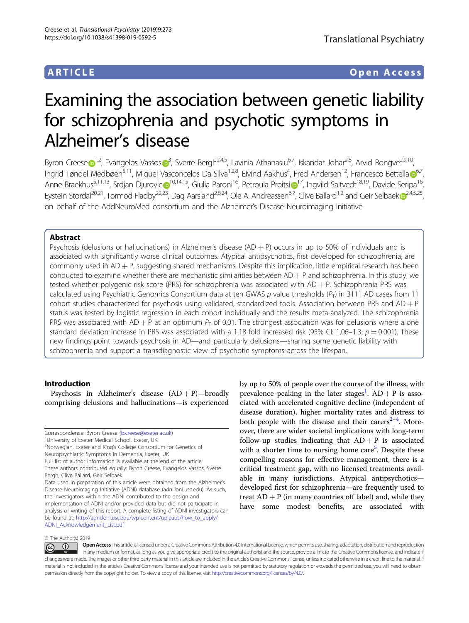# ARTICLE Open Access

# Examining the association between genetic liability for schizophrenia and psychotic symptoms in Alzheimer's disease

Byron Cr[e](http://orcid.org/0000-0001-6490-6037)ese D<sup>[1](http://orcid.org/0000-0001-6490-6037),2</[s](http://orcid.org/0000-0001-6363-0438)up>, Evangelos Vassos D<sup>[3](http://orcid.org/0000-0001-6363-0438)</sup>, Sverre Bergh<sup>2,4,5</sup>, Lavinia Athanasiu<sup>6,7</sup>, Iskandar Johar<sup>2,8</sup>, Arvid Rongve<sup>2,9,10</sup>, Ingrid Tøndel Medbøen<sup>5,11</sup>, Miguel Vasconcelos Da Silva<sup>1,2,8</sup>, Eivind Aakhus<sup>4</sup>, Fred Andersen<sup>12</sup>, Francesco Bettella **[6](http://orcid.org/0000-0001-7968-8642)**<sup>6,7</sup>, Anne Braekhus<sup>5,11,13</sup>, Srdjan Djurovi[c](http://orcid.org/0000-0002-8140-8061) <sup>[1](http://orcid.org/0000-0002-2553-6974)0,14,15</sup>, Giulia Paroni<sup>16</sup>, Petroula Proitsi <sup>17</sup>, Ingvild Saltvedt<sup>18,19</sup>, Davide Seripa<sup>16</sup>, Eystein Stordal<sup>20,21</sup>, Tormod Fladby<sup>22,23</sup>, Dag Aarsland<sup>2,8,24</sup>, Ole A. Andreassen<sup>6,7</sup>, Clive Ballard<sup>1,2</sup> and Geir Selbae[k](http://orcid.org/0000-0001-6511-8219) <sup>[2](http://orcid.org/0000-0001-6511-8219),4,5,25</sup>, on behalf of the AddNeuroMed consortium and the Alzheimer's Disease Neuroimaging Initiative

# Abstract

Psychosis (delusions or hallucinations) in Alzheimer's disease  $(AD + P)$  occurs in up to 50% of individuals and is associated with significantly worse clinical outcomes. Atypical antipsychotics, first developed for schizophrenia, are commonly used in AD + P, suggesting shared mechanisms. Despite this implication, little empirical research has been conducted to examine whether there are mechanistic similarities between  $AD + P$  and schizophrenia. In this study, we tested whether polygenic risk score (PRS) for schizophrenia was associated with  $AD + P$ . Schizophrenia PRS was calculated using Psychiatric Genomics Consortium data at ten GWAS p value thresholds  $(P_T)$  in 3111 AD cases from 11 cohort studies characterized for psychosis using validated, standardized tools. Association between PRS and  $AD + P$ status was tested by logistic regression in each cohort individually and the results meta-analyzed. The schizophrenia PRS was associated with AD + P at an optimum  $P<sub>T</sub>$  of 0.01. The strongest association was for delusions where a one standard deviation increase in PRS was associated with a 1.18-fold increased risk (95% CI: 1.06–1.3;  $p = 0.001$ ). These new findings point towards psychosis in AD—and particularly delusions—sharing some genetic liability with schizophrenia and support a transdiagnostic view of psychotic symptoms across the lifespan.

#### Introduction

Psychosis in Alzheimer's disease  $(AD + P)$ —broadly comprising delusions and hallucinations—is experienced

University of Exeter Medical School, Exeter, UK

```
2
Norwegian, Exeter and King's College Consortium for Genetics of
Neuropsychiatric Symptoms in Dementia, Exeter, UK
Full list of author information is available at the end of the article.
```
Data used in preparation of this article were obtained from the Alzheimer's Disease Neuroimaging Initiative (ADNI) database (adni.loni.usc.edu). As such, the investigators within the ADNI contributed to the design and implementation of ADNI and/or provided data but did not participate in analysis or writing of this report. A complete listing of ADNI investigators can be found at: [http://adni.loni.usc.edu/wp-content/uploads/how\\_to\\_apply/](http://adni.loni.usc.edu/wp-content/uploads/how_to_apply/ADNI_Acknowledgement_List.pdf) [ADNI\\_Acknowledgement\\_List.pdf](http://adni.loni.usc.edu/wp-content/uploads/how_to_apply/ADNI_Acknowledgement_List.pdf)

by up to 50% of people over the course of the illness, with prevalence peaking in the later stages<sup>[1](#page-8-0)</sup>.  $AD + P$  is associated with accelerated cognitive decline (independent of disease duration), higher mortality rates and distress to both people with the disease and their carers $2-4$  $2-4$  $2-4$ . Moreover, there are wider societal implications with long-term follow-up studies indicating that  $AD + P$  is associated with a shorter time to nursing home care<sup>[5](#page-9-0)</sup>. Despite these compelling reasons for effective management, there is a critical treatment gap, with no licensed treatments available in many jurisdictions. Atypical antipsychotics developed first for schizophrenia—are frequently used to treat  $AD + P$  (in many countries off label) and, while they have some modest benefits, are associated with

#### © The Author(s) 2019

Correspondence: Byron Creese ([b.creese@exeter.ac.uk\)](mailto:b.creese@exeter.ac.uk) <sup>1</sup>

These authors contributed equally: Byron Creese, Evangelos Vassos, Sverre Bergh, Clive Ballard, Geir Selbaek

Open Access This article is licensed under a Creative Commons Attribution 4.0 International License, which permits use, sharing, adaptation, distribution and reproduction  $\bigcirc$  $\left[{\rm (cc)}\right]$ in any medium or format, as long as you give appropriate credit to the original author(s) and the source, provide a link to the Creative Commons license, and indicate if changes were made. The images or other third party material in this article are included in the article's Creative Commons license, unless indicated otherwise in a credit line to the material. If material is not included in the article's Creative Commons license and your intended use is not permitted by statutory regulation or exceeds the permitted use, you will need to obtain permission directly from the copyright holder. To view a copy of this license, visit <http://creativecommons.org/licenses/by/4.0/>.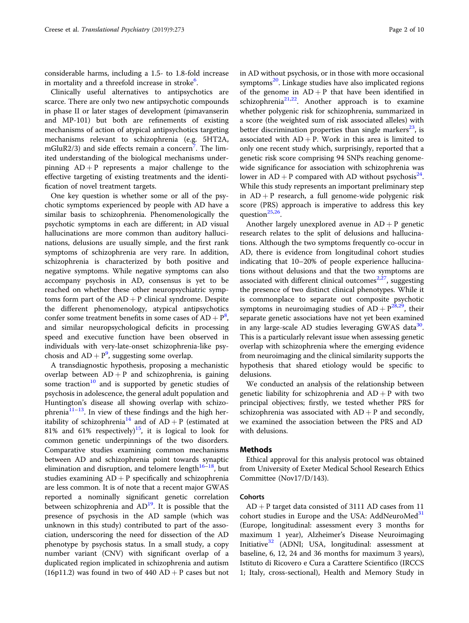considerable harms, including a 1.5- to 1.8-fold increase in mortality and a threefold increase in stroke<sup>[6](#page-9-0)</sup>.

Clinically useful alternatives to antipsychotics are scarce. There are only two new antipsychotic compounds in phase II or later stages of development (pimavanserin and MP-101) but both are refinements of existing mechanisms of action of atypical antipsychotics targeting mechanisms relevant to schizophrenia (e.g. 5HT2A, mGluR2/3) and side effects remain a concern<sup>[7](#page-9-0)</sup>. The limited understanding of the biological mechanisms underpinning  $AD + P$  represents a major challenge to the effective targeting of existing treatments and the identification of novel treatment targets.

One key question is whether some or all of the psychotic symptoms experienced by people with AD have a similar basis to schizophrenia. Phenomenologically the psychotic symptoms in each are different; in AD visual hallucinations are more common than auditory hallucinations, delusions are usually simple, and the first rank symptoms of schizophrenia are very rare. In addition, schizophrenia is characterized by both positive and negative symptoms. While negative symptoms can also accompany psychosis in AD, consensus is yet to be reached on whether these other neuropsychiatric symptoms form part of the  $AD + P$  clinical syndrome. Despite the different phenomenology, atypical antipsychotics confer some treatment benefits in some cases of  $AD + P<sup>8</sup>$  $AD + P<sup>8</sup>$  $AD + P<sup>8</sup>$ , and similar neuropsychological deficits in processing speed and executive function have been observed in individuals with very-late-onset schizophrenia-like psychosis and  $AD + P<sup>9</sup>$  $AD + P<sup>9</sup>$  $AD + P<sup>9</sup>$ , suggesting some overlap.

A transdiagnostic hypothesis, proposing a mechanistic overlap between  $AD + P$  and schizophrenia, is gaining some traction<sup>[10](#page-9-0)</sup> and is supported by genetic studies of psychosis in adolescence, the general adult population and Huntington's disease all showing overlap with schizo-phrenia<sup>[11](#page-9-0)–13</sup>. In view of these findings and the high her-itability of schizophrenia<sup>[14](#page-9-0)</sup> and of  $AD + P$  (estimated at 81% and 61% respectively)<sup>[15](#page-9-0)</sup>, it is logical to look for common genetic underpinnings of the two disorders. Comparative studies examining common mechanisms between AD and schizophrenia point towards synaptic elimination and disruption, and telomere length $16-18$  $16-18$ , but studies examining  $AD + P$  specifically and schizophrenia are less common. It is of note that a recent major GWAS reported a nominally significant genetic correlation between schizophrenia and  $AD<sup>19</sup>$ . It is possible that the presence of psychosis in the AD sample (which was unknown in this study) contributed to part of the association, underscoring the need for dissection of the AD phenotype by psychosis status. In a small study, a copy number variant (CNV) with significant overlap of a duplicated region implicated in schizophrenia and autism (16p11.2) was found in two of 440 AD + P cases but not in AD without psychosis, or in those with more occasional symptoms $^{20}$ . Linkage studies have also implicated regions of the genome in  $AD + P$  that have been identified in schizophrenia<sup>[21](#page-9-0),[22](#page-9-0)</sup>. Another approach is to examine whether polygenic risk for schizophrenia, summarized in a score (the weighted sum of risk associated alleles) with better discrimination properties than single markers<sup>23</sup>, is associated with  $AD + P$ . Work in this area is limited to only one recent study which, surprisingly, reported that a genetic risk score comprising 94 SNPs reaching genomewide significance for association with schizophrenia was lower in  $AD + P$  compared with AD without psychosis<sup>[24](#page-9-0)</sup>. While this study represents an important preliminary step in  $AD + P$  research, a full genome-wide polygenic risk score (PRS) approach is imperative to address this key question $^{25,26}$ .

Another largely unexplored avenue in  $AD + P$  genetic research relates to the split of delusions and hallucinations. Although the two symptoms frequently co-occur in AD, there is evidence from longitudinal cohort studies indicating that 10–20% of people experience hallucinations without delusions and that the two symptoms are associated with different clinical outcomes $2,27$  $2,27$  $2,27$ , suggesting the presence of two distinct clinical phenotypes. While it is commonplace to separate out composite psychotic symptoms in neuroimaging studies of  $AD + P^{28,29}$  $AD + P^{28,29}$  $AD + P^{28,29}$ , their separate genetic associations have not yet been examined in any large-scale AD studies leveraging GWAS data $30$ . This is a particularly relevant issue when assessing genetic overlap with schizophrenia where the emerging evidence from neuroimaging and the clinical similarity supports the hypothesis that shared etiology would be specific to delusions.

We conducted an analysis of the relationship between genetic liability for schizophrenia and  $AD + P$  with two principal objectives; firstly, we tested whether PRS for schizophrenia was associated with  $AD + P$  and secondly, we examined the association between the PRS and AD with delusions.

#### Methods

Ethical approval for this analysis protocol was obtained from University of Exeter Medical School Research Ethics Committee (Nov17/D/143).

# **Cohorts**

 $AD + P$  target data consisted of 3111 AD cases from 11 cohort studies in Europe and the USA: AddNeuroMed<sup>[31](#page-9-0)</sup> (Europe, longitudinal: assessment every 3 months for maximum 1 year), Alzheimer's Disease Neuroimaging Initiative<sup>[32](#page-9-0)</sup> (ADNI; USA, longitudinal: assessment at baseline, 6, 12, 24 and 36 months for maximum 3 years), Istituto di Ricovero e Cura a Carattere Scientifico (IRCCS 1; Italy, cross-sectional), Health and Memory Study in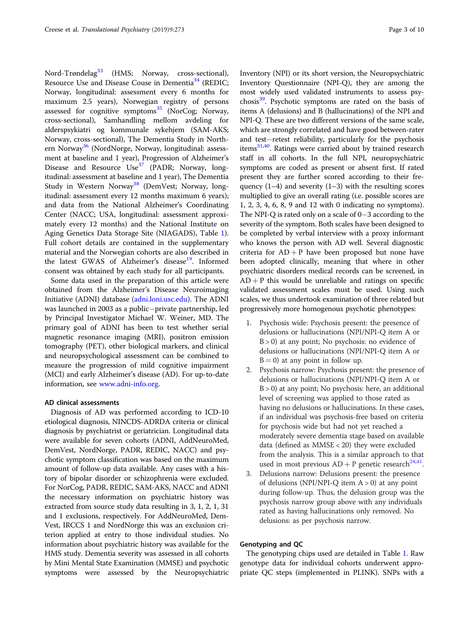Nord-Trøndelag<sup>[33](#page-9-0)</sup> (HMS; Norway, cross-sectional), Resource Use and Disease Couse in Dementia<sup>[34](#page-9-0)</sup> (REDIC; Norway, longitudinal: assessment every 6 months for maximum 2.5 years), Norwegian registry of persons assessed for cognitive symptoms $^{35}$  $^{35}$  $^{35}$  (NorCog; Norway, cross-sectional), Samhandling mellom avdeling for alderspsykiatri og kommunale sykehjem (SAM-AKS; Norway, cross-sectional), The Dementia Study in North-ern Norway<sup>[36](#page-9-0)</sup> (NordNorge, Norway, longitudinal: assessment at baseline and 1 year), Progression of Alzheimer's Disease and Resource Use<sup>[37](#page-9-0)</sup> (PADR; Norway, longitudinal: assessment at baseline and 1 year), The Dementia Study in Western Norway<sup>[38](#page-9-0)</sup> (DemVest; Norway, longitudinal: assessment every 12 months maximum 6 years); and data from the National Alzheimer's Coordinating Center (NACC; USA, longitudinal: assessment approximately every 12 months) and the National Institute on Aging Genetics Data Storage Site (NIAGADS), Table [1](#page-3-0)). Full cohort details are contained in the supplementary material and the Norwegian cohorts are also described in the latest GWAS of Alzheimer's disease<sup>19</sup>. Informed consent was obtained by each study for all participants.

Some data used in the preparation of this article were obtained from the Alzheimer's Disease Neuroimaging Initiative (ADNI) database ([adni.loni.usc.edu](http://adni.loni.usc.edu)). The ADNI was launched in 2003 as a public−private partnership, led by Principal Investigator Michael W. Weiner, MD. The primary goal of ADNI has been to test whether serial magnetic resonance imaging (MRI), positron emission tomography (PET), other biological markers, and clinical and neuropsychological assessment can be combined to measure the progression of mild cognitive impairment (MCI) and early Alzheimer's disease (AD). For up-to-date information, see [www.adni-info.org](http://www.adni-info.org).

### AD clinical assessments

Diagnosis of AD was performed according to ICD-10 etiological diagnosis, NINCDS-ADRDA criteria or clinical diagnosis by psychiatrist or geriatrician. Longitudinal data were available for seven cohorts (ADNI, AddNeuroMed, DemVest, NordNorge, PADR, REDIC, NACC) and psychotic symptom classification was based on the maximum amount of follow-up data available. Any cases with a history of bipolar disorder or schizophrenia were excluded. For NorCog, PADR, REDIC, SAM-AKS, NACC and ADNI the necessary information on psychiatric history was extracted from source study data resulting in 3, 1, 2, 1, 31 and 1 exclusions, respectively. For AddNeuroMed, Dem-Vest, IRCCS 1 and NordNorge this was an exclusion criterion applied at entry to those individual studies. No information about psychiatric history was available for the HMS study. Dementia severity was assessed in all cohorts by Mini Mental State Examination (MMSE) and psychotic symptoms were assessed by the Neuropsychiatric Inventory (NPI) or its short version, the Neuropsychiatric Inventory Questionnaire (NPI-Q), they are among the most widely used validated instruments to assess psychosis<sup>39</sup>. Psychotic symptoms are rated on the basis of items A (delusions) and B (hallucinations) of the NPI and NPI-Q. These are two different versions of the same scale, which are strongly correlated and have good between-rater and test−retest reliability, particularly for the psychosis items<sup>31,40</sup>. Ratings were carried about by trained research staff in all cohorts. In the full NPI, neuropsychiatric symptoms are coded as present or absent first. If rated present they are further scored according to their frequency  $(1-4)$  and severity  $(1-3)$  with the resulting scores multiplied to give an overall rating (i.e. possible scores are 1, 2, 3, 4, 6, 8, 9 and 12 with 0 indicating no symptoms). The NPI-Q is rated only on a scale of 0−3 according to the severity of the symptom. Both scales have been designed to be completed by verbal interview with a proxy informant who knows the person with AD well. Several diagnostic criteria for  $AD + P$  have been proposed but none have been adopted clinically, meaning that where in other psychiatric disorders medical records can be screened, in  $AD + P$  this would be unreliable and ratings on specific validated assessment scales must be used. Using such scales, we thus undertook examination of three related but progressively more homogenous psychotic phenotypes:

- 1. Psychosis wide: Psychosis present: the presence of delusions or hallucinations (NPI/NPI-Q item A or  $B > 0$ ) at any point; No psychosis: no evidence of delusions or hallucinations (NPI/NPI-Q item A or  $B = 0$ ) at any point in follow up.
- 2. Psychosis narrow: Psychosis present: the presence of delusions or hallucinations (NPI/NPI-Q item A or B > 0) at any point; No psychosis: here, an additional level of screening was applied to those rated as having no delusions or hallucinations. In these cases, if an individual was psychosis-free based on criteria for psychosis wide but had not yet reached a moderately severe dementia stage based on available data (defined as MMSE < 20) they were excluded from the analysis. This is a similar approach to that used in most previous  $AD + P$  genetic research<sup>[24,41](#page-9-0)</sup>.
- 3. Delusions narrow: Delusions present: the presence of delusions (NPI/NPI-Q item  $A > 0$ ) at any point during follow-up. Thus, the delusion group was the psychosis narrow group above with any individuals rated as having hallucinations only removed. No delusions: as per psychosis narrow.

## Genotyping and QC

The genotyping chips used are detailed in Table [1](#page-3-0). Raw genotype data for individual cohorts underwent appropriate QC steps (implemented in PLINK). SNPs with a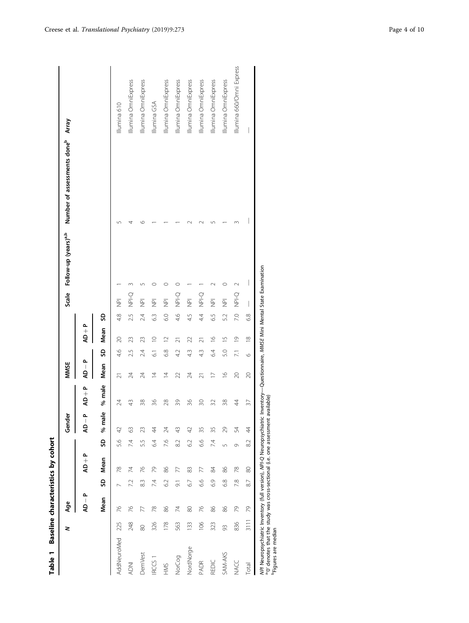| ă      |
|--------|
| j<br>i |
| ;      |
|        |
|        |

|                                                                                                                                                                                            | z    | Age                       |                |           |            | Gender                            |                                                             | <b>MMSE</b>                       |                  |                           |                 |                          | Scale Follow-up (years) <sup>a,b</sup> | Number of assessments doneb | Array                     |
|--------------------------------------------------------------------------------------------------------------------------------------------------------------------------------------------|------|---------------------------|----------------|-----------|------------|-----------------------------------|-------------------------------------------------------------|-----------------------------------|------------------|---------------------------|-----------------|--------------------------|----------------------------------------|-----------------------------|---------------------------|
|                                                                                                                                                                                            |      | $\mathsf{A} - \mathsf{A}$ |                | $AD + P$  |            | $\mathsf{A}\mathsf{D}-\mathsf{P}$ | $\mathsf{AD} + \mathsf{P}$                                  | $\mathsf{A}\mathsf{D}-\mathsf{P}$ |                  | $\mathbf{A} + \mathbf{D}$ |                 |                          |                                        |                             |                           |
|                                                                                                                                                                                            |      | Mean                      |                | SD Mean   | G          | ω<br>% mal                        | % male                                                      | Mean                              | G                | Mean                      | S               |                          |                                        |                             |                           |
| AddNeuroMed                                                                                                                                                                                | 225  | 76                        |                | 78        | 5.6        | 42                                | 24                                                          | ಸ                                 | 4.6              | 20                        | 4.8             | $\frac{\overline{p}}{p}$ |                                        | ص                           | Illumina 610              |
| <b>ADNI</b>                                                                                                                                                                                | 248  | 26                        | 7.2            | 74        | 74         | 3                                 | 43                                                          | 24                                | 2.5              | 23                        | 2.5             | $Q = NP$                 |                                        |                             | Illumina OmniExpress      |
| <b>DemVest</b>                                                                                                                                                                             | 80   | R                         | 83             | 26        | 5.5        | 23                                | 38                                                          | 24                                | 2.4              | 23                        | 24              | $\overline{2}$           |                                        | ↶                           | Illumina OmniExpress      |
| <b>IRCCS</b>                                                                                                                                                                               | 326  | 78                        | 7.4            | 29        | 64         | 4                                 | 36                                                          | $\overline{4}$                    | $\overline{61}$  | $\supseteq$               | 6.3             | $\frac{\overline{p}}{p}$ | C                                      |                             | Illumina GSA              |
| HMS                                                                                                                                                                                        | 178  | 86                        | 6.2            | 86        | 7.6        | 24                                | 28                                                          | $\bar{4}$                         | 6.8              | $\supseteq$               | 6.0             | $\overline{\Xi}$         | $\circ$                                |                             | Illumina OmniExpress      |
| NorCog                                                                                                                                                                                     | 563  | 74                        | $\overline{9}$ | 77        | 82         | ₩                                 | 39                                                          | 22                                | 4.2              | $\overline{z}$            | 4.6             | <b>O-lev</b>             | 0                                      |                             | Illumina OmniExpress      |
| NordNorge                                                                                                                                                                                  | 133  | 80                        | 6.7            | 83        | 62         | 42                                | 36                                                          | 24                                | 43               | 22                        | 4.5             | $\overline{\Xi}$         |                                        |                             | Illumina OmniExpress      |
| <b>PADR</b>                                                                                                                                                                                | 106  | 26                        | 6.6            | 77        | 6.6        | 35                                | $\approx$                                                   | $\overline{2}1$                   | 43               | $\overline{\mathcal{N}}$  | $4\overline{4}$ | <b>O-lan</b>             |                                        |                             | Illumina OmniExpress      |
| REDIC                                                                                                                                                                                      | 323  | 86                        | 6.9            | 84        | 74         | 35                                | 32                                                          | $\overline{1}$                    | 64               | $\frac{6}{2}$             | 6.5             | $\overline{P}$           | $\sim$                                 |                             | Illumina OmniExpress      |
| SAM-AKS                                                                                                                                                                                    | 93   | 86                        | 6.8            | 86        | $\sqrt{2}$ | 29                                | 38                                                          | $\frac{6}{2}$                     | 5.0              | $\frac{5}{1}$             | 52              | $\overline{\Xi}$         | $\circ$                                |                             | Illumina OmniExpress      |
| NACC                                                                                                                                                                                       | 836  | 2                         | 7.8            | 78        | 0          | 54                                | $\ddot{4}$                                                  | $\overline{20}$                   | $\overline{7.1}$ | $\overline{0}$            | 7.0             | Q-lex                    | $\sim$                                 |                             | Illumina 660/Omni Express |
| Total                                                                                                                                                                                      | 3111 | 79                        | 87             | $\otimes$ | 8.2        | $\overline{4}$                    | 57                                                          | $\approx$                         | $\circ$          | $\approx$                 | 6.8             |                          |                                        |                             |                           |
| ary denotes that the study was cross-sectional (i.e. one assessment available)<br>NPI Neuropsychiatric Inventory (full version), NPI-Q Neuropsychiatric<br><sup>b</sup> Figures are median |      |                           |                |           |            |                                   | Inventory-Questionnaire, MMSE Mini Mental State Examination |                                   |                  |                           |                 |                          |                                        |                             |                           |

<span id="page-3-0"></span>Creese et al. Translational Psychiatry (2019) 9:273 Page 4 of 10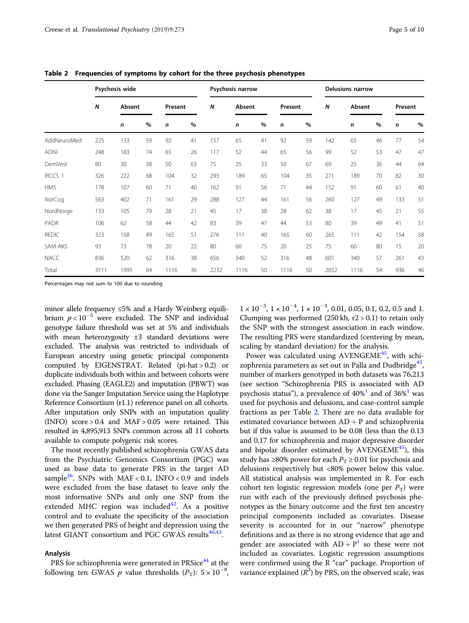|                |                  | Psychosis wide |      |         |    | Psychosis narrow |        |    |         |    | <b>Delusions narrow</b> |        |      |              |    |
|----------------|------------------|----------------|------|---------|----|------------------|--------|----|---------|----|-------------------------|--------|------|--------------|----|
|                | $\boldsymbol{N}$ | Absent         |      | Present |    | N                | Absent |    | Present |    | N                       | Absent |      | Present      |    |
|                |                  | n              | $\%$ | n       | %  |                  | n      | %  | n       | %  |                         | n      | $\%$ | $\mathsf{n}$ | %  |
| AddNeuroMed    | 225              | 133            | 59   | 92      | 41 | 157              | 65     | 41 | 92      | 59 | 142                     | 65     | 46   | 77           | 54 |
| <b>ADNI</b>    | 248              | 183            | 74   | 65      | 26 | 117              | 52     | 44 | 65      | 56 | 99                      | 52     | 53   | 47           | 47 |
| <b>DemVest</b> | 80               | 30             | 38   | 50      | 63 | 75               | 25     | 33 | 50      | 67 | 69                      | 25     | 36   | 44           | 64 |
| <b>IRCCS 1</b> | 326              | 222            | 68   | 104     | 32 | 293              | 189    | 65 | 104     | 35 | 271                     | 189    | 70   | 82           | 30 |
| <b>HMS</b>     | 178              | 107            | 60   | 71      | 40 | 162              | 91     | 56 | 71      | 44 | 152                     | 91     | 60   | 61           | 40 |
| NorCog         | 563              | 402            | 71   | 161     | 29 | 288              | 127    | 44 | 161     | 56 | 260                     | 127    | 49   | 133          | 51 |
| NordNorge      | 133              | 105            | 79   | 28      | 21 | 45               | 17     | 38 | 28      | 62 | 38                      | 17     | 45   | 21           | 55 |
| PADR           | 106              | 62             | 58   | 44      | 42 | 83               | 39     | 47 | 44      | 53 | 80                      | 39     | 49   | 41           | 51 |
| <b>REDIC</b>   | 323              | 158            | 49   | 165     | 51 | 276              | 111    | 40 | 165     | 60 | 265                     | 111    | 42   | 154          | 58 |
| SAM-AKS        | 93               | 73             | 78   | 20      | 22 | 80               | 60     | 75 | 20      | 25 | 75                      | 60     | 80   | 15           | 20 |
| <b>NACC</b>    | 836              | 520            | 62   | 316     | 38 | 656              | 340    | 52 | 316     | 48 | 601                     | 340    | 57   | 261          | 43 |
| Total          | 3111             | 1995           | 64   | 1116    | 36 | 2232             | 1116   | 50 | 1116    | 50 | 2052                    | 1116   | 54   | 936          | 46 |

<span id="page-4-0"></span>Table 2 Frequencies of symptoms by cohort for the three psychosis phenotypes

Percentages may not sum to 100 due to rounding

minor allele frequency ≤5% and a Hardy Weinberg equilibrium  $p < 10^{-5}$  were excluded. The SNP and individual genotype failure threshold was set at 5% and individuals with mean heterozygosity ±3 standard deviations were excluded. The analysis was restricted to individuals of European ancestry using genetic principal components computed by EIGENSTRAT. Related (pi-hat > 0.2) or duplicate individuals both within and between cohorts were excluded. Phasing (EAGLE2) and imputation (PBWT) was done via the Sanger Imputation Service using the Haplotype Reference Consortium (r1.1) reference panel on all cohorts. After imputation only SNPs with an imputation quality (INFO) score  $> 0.4$  and MAF  $> 0.05$  were retained. This resulted in 4,895,913 SNPs common across all 11 cohorts available to compute polygenic risk scores.

The most recently published schizophrenia GWAS data from the Psychiatric Genomics Consortium (PGC) was used as base data to generate PRS in the target AD sample<sup>[26](#page-9-0)</sup>. SNPs with MAF < 0.1, INFO < 0.9 and indels were excluded from the base dataset to leave only the most informative SNPs and only one SNP from the extended MHC region was included $42$ . As a positive control and to evaluate the specificity of the association we then generated PRS of height and depression using the latest GIANT consortium and PGC GWAS results $40,43$ .

# Analysis

PRS for schizophrenia were generated in PRSice<sup>[44](#page-9-0)</sup> at the following ten GWAS p value thresholds  $(P_T)$ : 5 × 10<sup>-8</sup>,

 $1 \times 10^{-5}$ ,  $1 \times 10^{-4}$ ,  $1 \times 10^{-3}$ , 0.01, 0.05, 0.1, 0.2, 0.5 and 1. Clumping was performed  $(250 \text{ kb}, r2 > 0.1)$  to retain only the SNP with the strongest association in each window. The resulting PRS were standardized (centering by mean, scaling by standard deviation) for the analysis.

Power was calculated using AVENGEME $45$ , with schi-zophrenia parameters as set out in Palla and Dudbridge<sup>[45](#page-9-0)</sup> number of markers genotyped in both datasets was 76,213 (see section "Schizophrenia PRS is associated with AD psychosis status"), a prevalence of  $40\%$ <sup>[1](#page-8-0)</sup> and of  $36\%$ <sup>1</sup> was used for psychosis and delusions, and case-control sample fractions as per Table 2. There are no data available for estimated covariance between  $AD + P$  and schizophrenia but if this value is assumed to be 0.08 (less than the 0.13 and 0.17 for schizophrenia and major depressive disorder and bipolar disorder estimated by AVENGEME $45$ ), this study has ≥80% power for each  $P_T \ge 0.01$  for psychosis and delusions respectively but <80% power below this value. All statistical analysis was implemented in R. For each cohort ten logistic regression models (one per  $P_T$ ) were run with each of the previously defined psychosis phenotypes as the binary outcome and the first ten ancestry principal components included as covariates. Disease severity is accounted for in our "narrow" phenotype definitions and as there is no strong evidence that age and gender are associated with  $AD + P<sup>1</sup>$  $AD + P<sup>1</sup>$  $AD + P<sup>1</sup>$  so these were not included as covariates. Logistic regression assumptions were confirmed using the R "car" package. Proportion of variance explained  $(R^2)$  by PRS, on the observed scale, was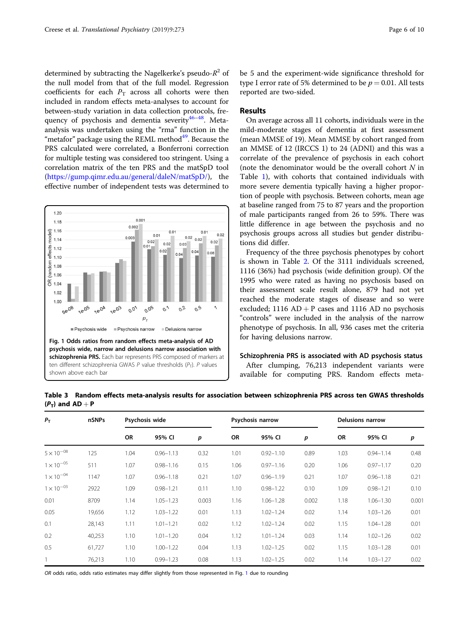<span id="page-5-0"></span>determined by subtracting the Nagelkerke's pseudo- $R^2$  of the null model from that of the full model. Regression coefficients for each  $P_T$  across all cohorts were then included in random effects meta-analyses to account for between-study variation in data collection protocols, frequency of psychosis and dementia severity $46-48$  $46-48$ . Metaanalysis was undertaken using the "rma" function in the "metafor" package using the REML method $49$ . Because the PRS calculated were correlated, a Bonferroni correction for multiple testing was considered too stringent. Using a correlation matrix of the ten PRS and the matSpD tool ([https://gump.qimr.edu.au/general/daleN/matSpD/\)](https://gump.qimr.edu.au/general/daleN/matSpD/), the effective number of independent tests was determined to



be 5 and the experiment-wide significance threshold for type I error rate of 5% determined to be  $p = 0.01$ . All tests reported are two-sided.

# Results

On average across all 11 cohorts, individuals were in the mild-moderate stages of dementia at first assessment (mean MMSE of 19). Mean MMSE by cohort ranged from an MMSE of 12 (IRCCS 1) to 24 (ADNI) and this was a correlate of the prevalence of psychosis in each cohort (note the denominator would be the overall cohort  $N$  in Table [1](#page-3-0)), with cohorts that contained individuals with more severe dementia typically having a higher proportion of people with psychosis. Between cohorts, mean age at baseline ranged from 75 to 87 years and the proportion of male participants ranged from 26 to 59%. There was little difference in age between the psychosis and no psychosis groups across all studies but gender distributions did differ.

Frequency of the three psychosis phenotypes by cohort is shown in Table [2](#page-4-0). Of the 3111 individuals screened, 1116 (36%) had psychosis (wide definition group). Of the 1995 who were rated as having no psychosis based on their assessment scale result alone, 879 had not yet reached the moderate stages of disease and so were excluded; 1116  $AD + P$  cases and 1116 AD no psychosis "controls" were included in the analysis of the narrow phenotype of psychosis. In all, 936 cases met the criteria for having delusions narrow.

# Schizophrenia PRS is associated with AD psychosis status

After clumping, 76,213 independent variants were available for computing PRS. Random effects meta-

|                      | Table 3 Random effects meta-analysis results for association between schizophrenia PRS across ten GWAS thresholds |  |
|----------------------|-------------------------------------------------------------------------------------------------------------------|--|
| $(P_T)$ and $AD + P$ |                                                                                                                   |  |

| $P_{\rm T}$         | nSNPs  |           | Psychosis wide |       |           | Psychosis narrow |       |           | <b>Delusions narrow</b> |       |
|---------------------|--------|-----------|----------------|-------|-----------|------------------|-------|-----------|-------------------------|-------|
|                     |        | <b>OR</b> | 95% CI         | p     | <b>OR</b> | 95% CI           | p     | <b>OR</b> | 95% CI                  | p     |
| $5 \times 10^{-08}$ | 125    | 1.04      | $0.96 - 1.13$  | 0.32  | 1.01      | $0.92 - 1.10$    | 0.89  | 1.03      | $0.94 - 1.14$           | 0.48  |
| $1 \times 10^{-05}$ | 511    | 1.07      | $0.98 - 1.16$  | 0.15  | 1.06      | $0.97 - 1.16$    | 0.20  | 1.06      | $0.97 - 1.17$           | 0.20  |
| $1 \times 10^{-04}$ | 1147   | 1.07      | $0.96 - 1.18$  | 0.21  | 1.07      | $0.96 - 1.19$    | 0.21  | 1.07      | $0.96 - 1.18$           | 0.21  |
| $1 \times 10^{-03}$ | 2922   | 1.09      | $0.98 - 1.21$  | 0.11  | 1.10      | $0.98 - 1.22$    | 0.10  | 1.09      | $0.98 - 1.21$           | 0.10  |
| 0.01                | 8709   | 1.14      | $1.05 - 1.23$  | 0.003 | 1.16      | $1.06 - 1.28$    | 0.002 | 1.18      | $1.06 - 1.30$           | 0.001 |
| 0.05                | 19,656 | 1.12      | $1.03 - 1.22$  | 0.01  | 1.13      | $1.02 - 1.24$    | 0.02  | 1.14      | $1.03 - 1.26$           | 0.01  |
| 0.1                 | 28,143 | 1.11      | $1.01 - 1.21$  | 0.02  | 1.12      | $1.02 - 1.24$    | 0.02  | 1.15      | $1.04 - 1.28$           | 0.01  |
| 0.2                 | 40,253 | 1.10      | $1.01 - 1.20$  | 0.04  | 1.12      | $1.01 - 1.24$    | 0.03  | 1.14      | $1.02 - 1.26$           | 0.02  |
| 0.5                 | 61,727 | 1.10      | $1.00 - 1.22$  | 0.04  | 1.13      | $1.02 - 1.25$    | 0.02  | 1.15      | $1.03 - 1.28$           | 0.01  |
|                     | 76,213 | 1.10      | $0.99 - 1.23$  | 0.08  | 1.13      | $1.02 - 1.25$    | 0.02  | 1.14      | $1.03 - 1.27$           | 0.02  |

OR odds ratio, odds ratio estimates may differ slightly from those represented in Fig. 1 due to rounding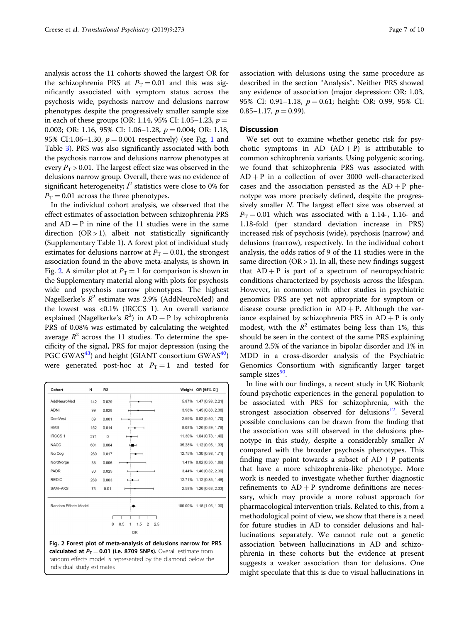<span id="page-6-0"></span>analysis across the 11 cohorts showed the largest OR for the schizophrenia PRS at  $P_T = 0.01$  and this was significantly associated with symptom status across the psychosis wide, psychosis narrow and delusions narrow phenotypes despite the progressively smaller sample size in each of these groups (OR: 1.14, 95% CI: 1.05–1.23,  $p =$ 0.003; OR: 1.16, 95% CI: 1.06–1.28,  $p = 0.004$ ; OR: 1.18, 95% CI:[1](#page-5-0).06–1.30,  $p = 0.001$  respectively) (see Fig. 1 and Table [3\)](#page-5-0). PRS was also significantly associated with both the psychosis narrow and delusions narrow phenotypes at every  $P_T > 0.01$ . The largest effect size was observed in the delusions narrow group. Overall, there was no evidence of significant heterogeneity;  $l^2$  statistics were close to 0% for  $P_T = 0.01$  across the three phenotypes.

In the individual cohort analysis, we observed that the effect estimates of association between schizophrenia PRS and  $AD + P$  in nine of the 11 studies were in the same direction  $(OR > 1)$ , albeit not statistically significantly (Supplementary Table 1). A forest plot of individual study estimates for delusions narrow at  $P_T = 0.01$ , the strongest association found in the above meta-analysis, is shown in Fig. 2. A similar plot at  $P_T = 1$  for comparison is shown in the Supplementary material along with plots for psychosis wide and psychosis narrow phenotypes. The highest Nagelkerke's  $R^2$  estimate was 2.9% (AddNeuroMed) and the lowest was <0.1% (IRCCS 1). An overall variance explained (Nagelkerke's  $R^2$ ) in  $AD + P$  by schizophrenia PRS of 0.08% was estimated by calculating the weighted average  $R^2$  across the 11 studies. To determine the specificity of the signal, PRS for major depression (using the PGC GWAS<sup>43</sup>) and height (GIANT consortium GWAS<sup>40</sup>) were generated post-hoc at  $P_T = 1$  and tested for

| Cohort                      | Ν   | R <sub>2</sub> |                                                                                                                                                                                                                                                         | Weight OR [95% CI]        |
|-----------------------------|-----|----------------|---------------------------------------------------------------------------------------------------------------------------------------------------------------------------------------------------------------------------------------------------------|---------------------------|
| AddNeuroMed                 | 142 | 0.029          |                                                                                                                                                                                                                                                         | 5.87% 1.47 [0.98, 2.21]   |
| <b>ADNI</b>                 | 99  | 0.028          |                                                                                                                                                                                                                                                         | 3.98% 1.45 [0.88, 2.38]   |
| <b>DemVest</b>              | 69  | 0.001          |                                                                                                                                                                                                                                                         | 2.59% 0.92 [0.50, 1.70]   |
| <b>HMS</b>                  | 152 | 0.014          |                                                                                                                                                                                                                                                         | 8.08% 1.26 [0.89, 1.78]   |
| <b>IRCCS1</b>               | 271 | $\mathbf{0}$   |                                                                                                                                                                                                                                                         | 11.30% 1.04 [0.78, 1.40]  |
| <b>NACC</b>                 | 601 | 0.004          | ∺∎⊣                                                                                                                                                                                                                                                     | 35.28% 1.12 [0.95, 1.33]  |
| NorCog                      | 260 | 0.017          |                                                                                                                                                                                                                                                         | 12.75% 1.30 [0.98, 1.71]  |
| NordNorge                   | 38  | 0.006          |                                                                                                                                                                                                                                                         | 1.41% 0.82 [0.36, 1.89]   |
| <b>PADR</b>                 | 80  | 0.025          |                                                                                                                                                                                                                                                         | 3.44% 1.40 [0.82, 2.39]   |
| <b>REDIC</b>                | 268 | 0.003          |                                                                                                                                                                                                                                                         | 12.71% 1.12 [0.85, 1.48]  |
| SAM-AKS                     | 75  | 0.01           |                                                                                                                                                                                                                                                         | 2.58% 1.26 [0.68, 2.33]   |
| <b>Random Effects Model</b> |     |                |                                                                                                                                                                                                                                                         | 100.00% 1.18 [1.06, 1.30] |
|                             |     |                |                                                                                                                                                                                                                                                         |                           |
|                             |     | $\mathbf 0$    | 1.5<br>0.5<br>$\overline{2}$<br>2.5<br>1                                                                                                                                                                                                                |                           |
|                             |     |                | OR                                                                                                                                                                                                                                                      |                           |
|                             |     |                | Fig. 2 Forest plot of meta-analysis of delusions narrow for PRS<br>calculated at $P_T = 0.01$ (i.e. 8709 SNPs). Overall estimate from<br>a contra con la CC a que se a catallata espacial de la causa de la causa de la causa de la catalla de la causa |                           |

random effects model is represented by the diamond below the individual study estimates

association with delusions using the same procedure as described in the section "Analysis". Neither PRS showed any evidence of association (major depression: OR: 1.03, 95% CI: 0.91-1.18,  $p = 0.61$ ; height: OR: 0.99, 95% CI:  $0.85-1.17, p=0.99$ ).

#### **Discussion**

We set out to examine whether genetic risk for psychotic symptoms in AD  $(AD + P)$  is attributable to common schizophrenia variants. Using polygenic scoring, we found that schizophrenia PRS was associated with  $AD + P$  in a collection of over 3000 well-characterized cases and the association persisted as the  $AD + P$  phenotype was more precisely defined, despite the progressively smaller N. The largest effect size was observed at  $P_T = 0.01$  which was associated with a 1.14-, 1.16- and 1.18-fold (per standard deviation increase in PRS) increased risk of psychosis (wide), psychosis (narrow) and delusions (narrow), respectively. In the individual cohort analysis, the odds ratios of 9 of the 11 studies were in the same direction  $(OR > 1)$ . In all, these new findings suggest that  $AD + P$  is part of a spectrum of neuropsychiatric conditions characterized by psychosis across the lifespan. However, in common with other studies in psychiatric genomics PRS are yet not appropriate for symptom or disease course prediction in  $AD + P$ . Although the variance explained by schizophrenia PRS in  $AD + P$  is only modest, with the  $R^2$  estimates being less than 1%, this should be seen in the context of the same PRS explaining around 2.5% of the variance in bipolar disorder and 1% in MDD in a cross-disorder analysis of the Psychiatric Genomics Consortium with significantly larger target sample sizes<sup>[50](#page-9-0)</sup>.

In line with our findings, a recent study in UK Biobank found psychotic experiences in the general population to be associated with PRS for schizophrenia, with the strongest association observed for delusions $12$ . Several possible conclusions can be drawn from the finding that the association was still observed in the delusions phenotype in this study, despite a considerably smaller N compared with the broader psychosis phenotypes. This finding may point towards a subset of  $AD + P$  patients that have a more schizophrenia-like phenotype. More work is needed to investigate whether further diagnostic refinements to  $AD + P$  syndrome definitions are necessary, which may provide a more robust approach for pharmacological intervention trials. Related to this, from a methodological point of view, we show that there is a need for future studies in AD to consider delusions and hallucinations separately. We cannot rule out a genetic association between hallucinations in AD and schizophrenia in these cohorts but the evidence at present suggests a weaker association than for delusions. One might speculate that this is due to visual hallucinations in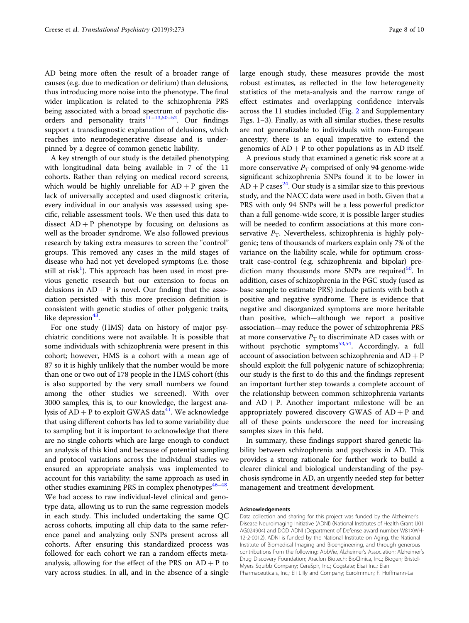AD being more often the result of a broader range of causes (e.g. due to medication or delirium) than delusions, thus introducing more noise into the phenotype. The final wider implication is related to the schizophrenia PRS being associated with a broad spectrum of psychotic disorders and personality traits $11-13,50-52$  $11-13,50-52$  $11-13,50-52$  $11-13,50-52$ . Our findings support a transdiagnostic explanation of delusions, which reaches into neurodegenerative disease and is underpinned by a degree of common genetic liability.

A key strength of our study is the detailed phenotyping with longitudinal data being available in 7 of the 11 cohorts. Rather than relying on medical record screens, which would be highly unreliable for  $AD + P$  given the lack of universally accepted and used diagnostic criteria, every individual in our analysis was assessed using specific, reliable assessment tools. We then used this data to dissect  $AD + P$  phenotype by focusing on delusions as well as the broader syndrome. We also followed previous research by taking extra measures to screen the "control" groups. This removed any cases in the mild stages of disease who had not yet developed symptoms (i.e. those still at risk $^{1}$  $^{1}$  $^{1}$ ). This approach has been used in most previous genetic research but our extension to focus on delusions in  $AD + P$  is novel. Our finding that the association persisted with this more precision definition is consistent with genetic studies of other polygenic traits, like depression $43$ .

For one study (HMS) data on history of major psychiatric conditions were not available. It is possible that some individuals with schizophrenia were present in this cohort; however, HMS is a cohort with a mean age of 87 so it is highly unlikely that the number would be more than one or two out of 178 people in the HMS cohort (this is also supported by the very small numbers we found among the other studies we screened). With over 3000 samples, this is, to our knowledge, the largest analysis of  $AD + P$  to exploit GWAS data<sup>[41](#page-9-0)</sup>. We acknowledge that using different cohorts has led to some variability due to sampling but it is important to acknowledge that there are no single cohorts which are large enough to conduct an analysis of this kind and because of potential sampling and protocol variations across the individual studies we ensured an appropriate analysis was implemented to account for this variability; the same approach as used in other studies examining PRS in complex phenotypes $46-48$  $46-48$  $46-48$ . We had access to raw individual-level clinical and genotype data, allowing us to run the same regression models in each study. This included undertaking the same QC across cohorts, imputing all chip data to the same reference panel and analyzing only SNPs present across all cohorts. After ensuring this standardized process was followed for each cohort we ran a random effects metaanalysis, allowing for the effect of the PRS on  $AD + P$  to vary across studies. In all, and in the absence of a single large enough study, these measures provide the most robust estimates, as reflected in the low heterogeneity statistics of the meta-analysis and the narrow range of effect estimates and overlapping confidence intervals across the 11 studies included (Fig. [2](#page-6-0) and Supplementary Figs. 1–3). Finally, as with all similar studies, these results are not generalizable to individuals with non-European ancestry; there is an equal imperative to extend the genomics of  $AD + P$  to other populations as in AD itself.

A previous study that examined a genetic risk score at a more conservative  $P<sub>T</sub>$  comprised of only 94 genome-wide significant schizophrenia SNPs found it to be lower in  $AD + P \csc^{24}$  $AD + P \csc^{24}$  $AD + P \csc^{24}$ . Our study is a similar size to this previous study, and the NACC data were used in both. Given that a PRS with only 94 SNPs will be a less powerful predictor than a full genome-wide score, it is possible larger studies will be needed to confirm associations at this more conservative  $P_T$ . Nevertheless, schizophrenia is highly polygenic; tens of thousands of markers explain only 7% of the variance on the liability scale, while for optimum crosstrait case-control (e.g. schizophrenia and bipolar) prediction many thousands more SNPs are required<sup>50</sup>. In addition, cases of schizophrenia in the PGC study (used as base sample to estimate PRS) include patients with both a positive and negative syndrome. There is evidence that negative and disorganized symptoms are more heritable than positive, which—although we report a positive association—may reduce the power of schizophrenia PRS at more conservative  $P_T$  to discriminate AD cases with or without psychotic symptoms $^{53,54}$  $^{53,54}$  $^{53,54}$  $^{53,54}$  $^{53,54}$ . Accordingly, a full account of association between schizophrenia and  $AD + P$ should exploit the full polygenic nature of schizophrenia; our study is the first to do this and the findings represent an important further step towards a complete account of the relationship between common schizophrenia variants and  $AD + P$ . Another important milestone will be an appropriately powered discovery GWAS of  $AD + P$  and all of these points underscore the need for increasing samples sizes in this field.

In summary, these findings support shared genetic liability between schizophrenia and psychosis in AD. This provides a strong rationale for further work to build a clearer clinical and biological understanding of the psychosis syndrome in AD, an urgently needed step for better management and treatment development.

#### Acknowledgements

Data collection and sharing for this project was funded by the Alzheimer's Disease Neuroimaging Initiative (ADNI) (National Institutes of Health Grant U01 AG024904) and DOD ADNI (Department of Defense award number W81XWH-12-2-0012). ADNI is funded by the National Institute on Aging, the National Institute of Biomedical Imaging and Bioengineering, and through generous contributions from the following: AbbVie, Alzheimer's Association; Alzheimer's Drug Discovery Foundation; Araclon Biotech; BioClinica, Inc.; Biogen; Bristol-Myers Squibb Company; CereSpir, Inc.; Cogstate; Eisai Inc.; Elan Pharmaceuticals, Inc.; Eli Lilly and Company; EuroImmun; F. Hoffmann-La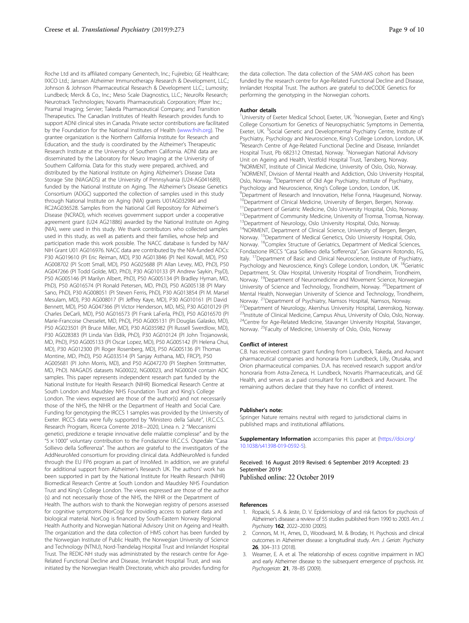<span id="page-8-0"></span>Roche Ltd and its affiliated company Genentech, Inc.; Fujirebio; GE Healthcare; IXICO Ltd.; Janssen Alzheimer Immunotherapy Research & Development, LLC.; Johnson & Johnson Pharmaceutical Research & Development LLC.; Lumosity; Lundbeck; Merck & Co., Inc.; Meso Scale Diagnostics, LLC.; NeuroRx Research; Neurotrack Technologies; Novartis Pharmaceuticals Corporation; Pfizer Inc.; Piramal Imaging; Servier; Takeda Pharmaceutical Company; and Transition Therapeutics. The Canadian Institutes of Health Research provides funds to support ADNI clinical sites in Canada. Private sector contributions are facilitated by the Foundation for the National Institutes of Health [\(www.fnih.org\)](http://www.fnih.org). The grantee organization is the Northern California Institute for Research and Education, and the study is coordinated by the Alzheimer's Therapeutic Research Institute at the University of Southern California. ADNI data are disseminated by the Laboratory for Neuro Imaging at the University of Southern California. Data for this study were prepared, archived, and distributed by the National Institute on Aging Alzheimer's Disease Data Storage Site (NIAGADS) at the University of Pennsylvania (U24-AG041689), funded by the National Institute on Aging. The Alzheimer's Disease Genetics Consortium (ADGC) supported the collection of samples used in this study through National Institute on Aging (NIA) grants U01AG032984 and RC2AG036528. Samples from the National Cell Repository for Alzheimer's Disease (NCRAD), which receives government support under a cooperative agreement grant (U24 AG21886) awarded by the National Institute on Aging (NIA), were used in this study. We thank contributors who collected samples used in this study, as well as patients and their families, whose help and participation made this work possible. The NACC database is funded by NIA/ NIH Grant U01 AG016976. NACC data are contributed by the NIA-funded ADCs: P30 AG019610 (PI Eric Reiman, MD), P30 AG013846 (PI Neil Kowall, MD), P50 AG008702 (PI Scott Small, MD), P50 AG025688 (PI Allan Levey, MD, PhD), P50 AG047266 (PI Todd Golde, MD, PhD), P30 AG010133 (PI Andrew Saykin, PsyD), P50 AG005146 (PI Marilyn Albert, PhD), P50 AG005134 (PI Bradley Hyman, MD, PhD), P50 AG016574 (PI Ronald Petersen, MD, PhD), P50 AG005138 (PI Mary Sano, PhD), P30 AG008051 (PI Steven Ferris, PhD), P30 AG013854 (PI M. Marsel Mesulam, MD), P30 AG008017 (PI Jeffrey Kaye, MD), P30 AG010161 (PI David Bennett, MD), P50 AG047366 (PI Victor Henderson, MD, MS), P30 AG010129 (PI Charles DeCarli, MD), P50 AG016573 (PI Frank LaFerla, PhD), P50 AG016570 (PI Marie-Francoise Chesselet, MD, PhD), P50 AG005131 (PI Douglas Galasko, MD), P50 AG023501 (PI Bruce Miller, MD), P30 AG035982 (PI Russell Swerdlow, MD), P30 AG028383 (PI Linda Van Eldik, PhD), P30 AG010124 (PI John Trojanowski, MD, PhD), P50 AG005133 (PI Oscar Lopez, MD), P50 AG005142 (PI Helena Chui, MD), P30 AG012300 (PI Roger Rosenberg, MD), P50 AG005136 (PI Thomas Montine, MD, PhD), P50 AG033514 (PI Sanjay Asthana, MD, FRCP), P50 AG005681 (PI John Morris, MD), and P50 AG047270 (PI Stephen Strittmatter, MD, PhD). NIAGADS datasets NG00022, NG00023, and NG00024 contain ADC samples. This paper represents independent research part funded by the National Institute for Health Research (NIHR) Biomedical Research Centre at South London and Maudsley NHS Foundation Trust and King's College London. The views expressed are those of the author(s) and not necessarily those of the NHS, the NIHR or the Department of Health and Social Care. Funding for genotyping the IRCCS 1 samples was provided by the University of Exeter. IRCCS data were fully supported by "Ministero della Salute", I.R.C.C.S. Research Program, Ricerca Corrente 2018−2020, Linea n. 2 "Meccanismi genetici, predizione e terapie innovative delle malattie complesse" and by the "5 × 1000" voluntary contribution to the Fondazione I.R.C.C.S. Ospedale "Casa Sollievo della Sofferenza". The authors are grateful to the investigators of the AddNeuroMed consortium for providing clinical data. AddNeuroMed is funded through the EU FP6 program as part of InnoMed. In addition, we are grateful for additional support from Alzheimer's Research UK. The authors' work has been supported in part by the National Institute for Health Research (NIHR) Biomedical Research Centre at South London and Maudsley NHS Foundation Trust and King's College London. The views expressed are those of the author (s) and not necessarily those of the NHS, the NIHR or the Department of Health. The authors wish to thank the Norwegian registry of persons assessed for cognitive symptoms (NorCog) for providing access to patient data and biological material. NorCog is financed by South-Eastern Norway Regional Health Authority and Norwegian National Advisory Unit on Ageing and Health. The organization and the data collection of HMS cohort has been funded by the Norwegian Institute of Public Health, the Norwegian University of Science and Technology (NTNU), Nord-Trøndelag Hospital Trust and Innlandet Hospital Trust. The REDIC-NH study was administrated by the research centre for Age-Related Functional Decline and Disease, Innlandet Hospital Trust, and was initiated by the Norwegian Health Directorate, which also provides funding for

the data collection. The data collection of the SAM-AKS cohort has been funded by the research centre for Age-Related Functional Decline and Disease, Innlandet Hospital Trust. The authors are grateful to deCODE Genetics for performing the genotyping in the Norwegian cohorts.

#### Author details

<sup>1</sup> University of Exeter Medical School, Exeter, UK. <sup>2</sup> Norwegian, Exeter and King's College Consortium for Genetics of Neuropsychiatric Symptoms in Dementia, Exeter, UK. <sup>3</sup>Social Genetic and Developmental Psychiatry Centre, Institute of Psychiatry, Psychology and Neuroscience, King's College London, London, UK. <sup>4</sup> <sup>4</sup>Research Centre of Age-Related Functional Decline and Disease, Innlandet Hospital Trust, Pb 682312 Ottestad, Norway. <sup>5</sup>Norwegian National Advisory Unit on Ageing and Health, Vestfold Hospital Trust, Tønsberg, Norway. 6 NORMENT, Institute of Clinical Medicine, University of Oslo, Oslo, Norway. 7 NORMENT, Division of Mental Health and Addiction, Oslo University Hospital, Oslo, Norway. <sup>8</sup>Department of Old Age Psychiatry, Institute of Psychiatry, Psychology and Neuroscience, King's College London, London, UK. <sup>9</sup>Department of Research and Innovation, Helse Fonna, Haugesund, Norway. <sup>10</sup>Department of Clinical Medicine, University of Bergen, Bergen, Norway. <sup>11</sup>Department of Geriatric Medicine, Oslo University Hospital, Oslo, Norway. <sup>12</sup>Department of Community Medicine, University of Tromsø, Tromsø, Norway. <sup>13</sup>Department of Neurology, Oslo University Hospital, Oslo, Norway. <sup>14</sup>NORMENT, Department of Clinical Science, University of Bergen, Bergen, Norway. 15Department of Medical Genetics, Oslo University Hospital, Oslo, Norway. <sup>16</sup>Complex Structure of Geriatrics, Department of Medical Sciences, Fondazione IRCCS "Casa Sollievo della Sofferenza", San Giovanni Rotondo, FG, Italy. <sup>17</sup>Department of Basic and Clinical Neuroscience, Institute of Psychiatry, Psychology and Neuroscience, King's College London, London, UK. <sup>18</sup>Geriatric Department, St. Olav Hospital, University Hospital of Trondheim, Trondheim, Norway. <sup>19</sup>Department of Neuromedicine and Movement Science, Norwegian University of Science and Technology, Trondheim, Norway. <sup>20</sup>Department of Mental Health, Norwegian University of Science and Technology, Trondheim, Norway. <sup>21</sup>Department of Psychiatry, Namsos Hospital, Namsos, Norway. <sup>22</sup>Department of Neurology, Akershus University Hospital, Lørenskog, Norway. <sup>23</sup>Institute of Clinical Medicine, Campus Ahus, University of Oslo, Oslo, Norway.  $24$ Centre for Age-Related Medicine, Stavanger University Hospital, Stavanger, Norway. 25Faculty of Medicine, University of Oslo, Oslo, Norway

#### Conflict of interest

C.B. has received contract grant funding from Lundbeck, Takeda, and Axovant pharmaceutical companies and honoraria from Lundbeck, Lilly, Otusaka, and Orion pharmaceutical companies. D.A. has received research support and/or honoraria from Astra-Zeneca, H. Lundbeck, Novartis Pharmaceuticals, and GE Health, and serves as a paid consultant for H. Lundbeck and Axovant. The remaining authors declare that they have no conflict of interest.

#### Publisher's note:

Springer Nature remains neutral with regard to jurisdictional claims in published maps and institutional affiliations.

Supplementary Information accompanies this paper at ([https://doi.org/](https://doi.org/10.1038/s41398-019-0592-5) [10.1038/s41398-019-0592-5\)](https://doi.org/10.1038/s41398-019-0592-5).

Received: 16 August 2019 Revised: 6 September 2019 Accepted: 23 September 2019 Published online: 22 October 2019

#### References

- Ropacki, S. A. & Jeste, D. V. Epidemiology of and risk factors for psychosis of Alzheimer's disease: a review of 55 studies published from 1990 to 2003. Am. J. Psychiatry 162, 2022–2030 (2005).
- 2. Connors, M. H., Ames, D., Woodward, M. & Brodaty, H. Psychosis and clinical outcomes in Alzheimer disease: a longitudinal study. Am. J. Geriatr. Psychiatry 26, 304–313 (2018).
- Weamer, E. A. et al. The relationship of excess cognitive impairment in MCI and early Alzheimer disease to the subsequent emergence of psychosis. Int. Psychogeriatr. 21, 78–85 (2009).